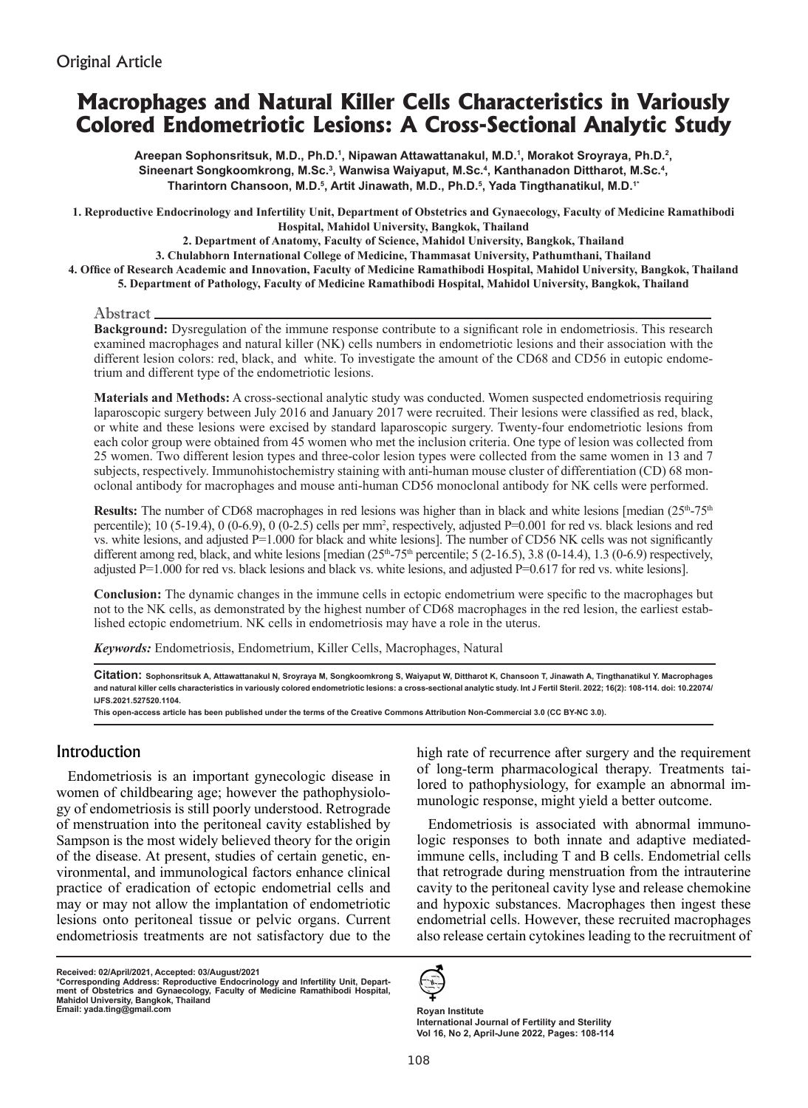# **Macrophages and Natural Killer Cells Characteristics in Variously Colored Endometriotic Lesions: A Cross-Sectional Analytic Study**

Areepan Sophonsritsuk, M.D., Ph.D.', Nipawan Attawattanakul, M.D.', Morakot Sroyraya, Ph.D.<sup>2</sup>, Sineenart Songkoomkrong, M.Sc.<sup>3</sup>, Wanwisa Waiyaput, M.Sc.<sup>4</sup>, Kanthanadon Dittharot, M.Sc.<sup>4</sup>, **Tharintorn Chansoon, M.D.5 , Artit Jinawath, M.D., Ph.D.5 , Yada Tingthanatikul, M.D.1\***

**1. Reproductive Endocrinology and Infertility Unit, Department of Obstetrics and Gynaecology, Faculty of Medicine Ramathibodi Hospital, Mahidol University, Bangkok, Thailand**

**2. Department of Anatomy, Faculty of Science, Mahidol University, Bangkok, Thailand** 

**3. Chulabhorn International College of Medicine, Thammasat University, Pathumthani, Thailand 4. Office of Research Academic and Innovation, Faculty of Medicine Ramathibodi Hospital, Mahidol University, Bangkok, Thailand**

**5. Department of Pathology, Faculty of Medicine Ramathibodi Hospital, Mahidol University, Bangkok, Thailand**

#### Abstract.

**Background:** Dysregulation of the immune response contribute to a significant role in endometriosis. This research examined macrophages and natural killer (NK) cells numbers in endometriotic lesions and their association with the different lesion colors: red, black, and white. To investigate the amount of the CD68 and CD56 in eutopic endometrium and different type of the endometriotic lesions.

**Materials and Methods:** A cross-sectional analytic study was conducted. Women suspected endometriosis requiring laparoscopic surgery between July 2016 and January 2017 were recruited. Their lesions were classified as red, black, or white and these lesions were excised by standard laparoscopic surgery. Twenty-four endometriotic lesions from each color group were obtained from 45 women who met the inclusion criteria. One type of lesion was collected from 25 women. Two different lesion types and three-color lesion types were collected from the same women in 13 and 7 subjects, respectively. Immunohistochemistry staining with anti-human mouse cluster of differentiation (CD) 68 monoclonal antibody for macrophages and mouse anti-human CD56 monoclonal antibody for NK cells were performed.

**Results:** The number of CD68 macrophages in red lesions was higher than in black and white lesions [median  $(25<sup>th</sup>-75<sup>th</sup>)$ ] percentile); 10 (5-19.4), 0 (0-6.9), 0 (0-2.5) cells per mm<sup>2</sup> , respectively, adjusted P=0.001 for red vs. black lesions and red vs. white lesions, and adjusted P=1.000 for black and white lesions]. The number of CD56 NK cells was not significantly different among red, black, and white lesions [median  $(25<sup>th</sup>-75<sup>th</sup>$  percentile; 5  $(2-16.5)$ , 3.8  $(0-14.4)$ , 1.3  $(0-6.9)$  respectively, adjusted  $P=1.000$  for red vs. black lesions and black vs. white lesions, and adjusted  $P=0.617$  for red vs. white lesions].

**Conclusion:** The dynamic changes in the immune cells in ectopic endometrium were specific to the macrophages but not to the NK cells, as demonstrated by the highest number of CD68 macrophages in the red lesion, the earliest established ectopic endometrium. NK cells in endometriosis may have a role in the uterus.

*Keywords:* Endometriosis, Endometrium, Killer Cells, Macrophages, Natural

**Citation: Sophonsritsuk A, Attawattanakul N, Sroyraya M, Songkoomkrong S, Waiyaput W, Dittharot K, Chansoon T, Jinawath A, Tingthanatikul Y. Macrophages and natural killer cells characteristics in variously colored endometriotic lesions: a cross-sectional analytic study. Int J Fertil Steril. 2022; 16(2): 108-114. doi: 10.22074/ IJFS.2021.527520.1104.**

**This open-access article has been published under the terms of the Creative Commons Attribution Non-Commercial 3.0 (CC BY-NC 3.0).**

## Introduction

Endometriosis is an important gynecologic disease in women of childbearing age; however the pathophysiology of endometriosis is still poorly understood. Retrograde of menstruation into the peritoneal cavity established by Sampson is the most widely believed theory for the origin of the disease. At present, studies of certain genetic, environmental, and immunological factors enhance clinical practice of eradication of ectopic endometrial cells and may or may not allow the implantation of endometriotic lesions onto peritoneal tissue or pelvic organs. Current endometriosis treatments are not satisfactory due to the

**Received: 02/April/2021, Accepted: 03/August/2021**

high rate of recurrence after surgery and the requirement of long-term pharmacological therapy. Treatments tailored to pathophysiology, for example an abnormal immunologic response, might yield a better outcome.

Endometriosis is associated with abnormal immunologic responses to both innate and adaptive mediatedimmune cells, including T and B cells. Endometrial cells that retrograde during menstruation from the intrauterine cavity to the peritoneal cavity lyse and release chemokine and hypoxic substances. Macrophages then ingest these endometrial cells. However, these recruited macrophages also release certain cytokines leading to the recruitment of



**Royan Institute International Journal of Fertility and Sterility Vol 16, No 2, April-June 2022, Pages: 108-114**

**<sup>\*</sup>Corresponding Address: Reproductive Endocrinology and Infertility Unit, Depart-ment of Obstetrics and Gynaecology, Faculty of Medicine Ramathibodi Hospital, Mahidol University, Bangkok, Thailand Email: yada.ting@gmail.com**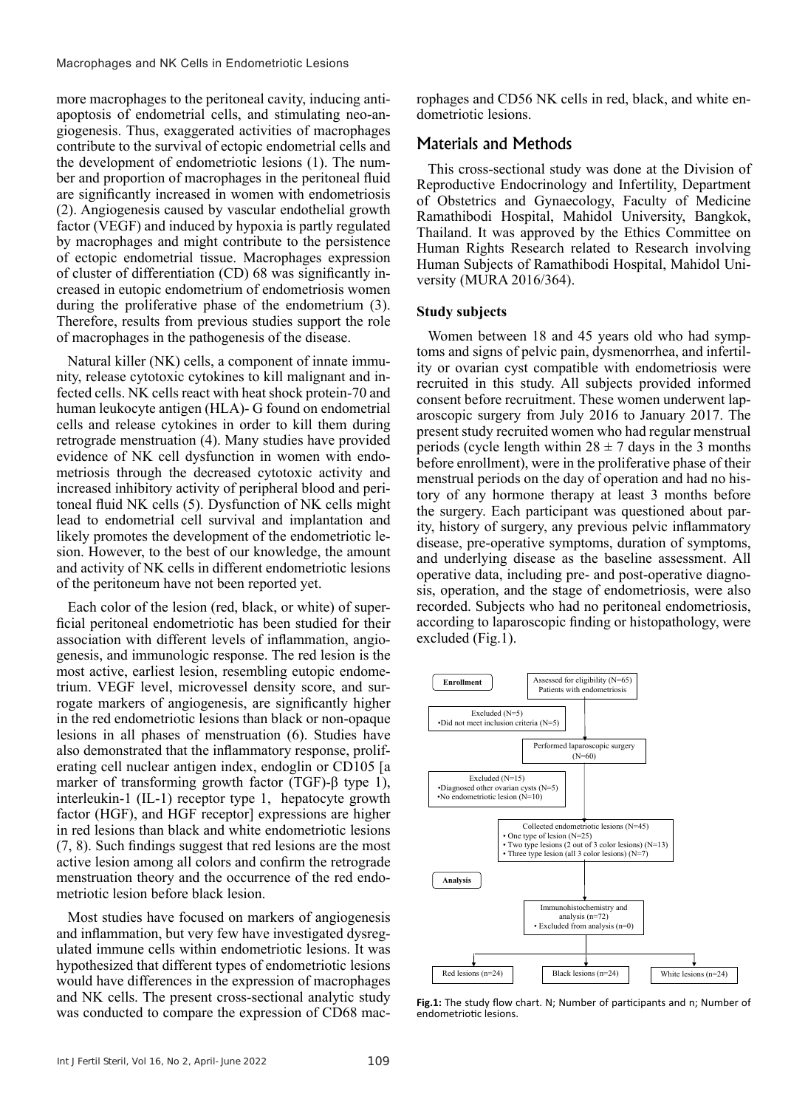more macrophages to the peritoneal cavity, inducing antiapoptosis of endometrial cells, and stimulating neo-angiogenesis. Thus, exaggerated activities of macrophages contribute to the survival of ectopic endometrial cells and the development of endometriotic lesions (1). The number and proportion of macrophages in the peritoneal fluid are significantly increased in women with endometriosis (2). Angiogenesis caused by vascular endothelial growth factor (VEGF) and induced by hypoxia is partly regulated by macrophages and might contribute to the persistence of ectopic endometrial tissue. Macrophages expression of cluster of differentiation (CD) 68 was significantly increased in eutopic endometrium of endometriosis women during the proliferative phase of the endometrium (3). Therefore, results from previous studies support the role of macrophages in the pathogenesis of the disease.

Natural killer (NK) cells, a component of innate immunity, release cytotoxic cytokines to kill malignant and infected cells. NK cells react with heat shock protein-70 and human leukocyte antigen (HLA)- G found on endometrial cells and release cytokines in order to kill them during retrograde menstruation (4). Many studies have provided evidence of NK cell dysfunction in women with endometriosis through the decreased cytotoxic activity and increased inhibitory activity of peripheral blood and peritoneal fluid NK cells (5). Dysfunction of NK cells might lead to endometrial cell survival and implantation and likely promotes the development of the endometriotic lesion. However, to the best of our knowledge, the amount and activity of NK cells in different endometriotic lesions of the peritoneum have not been reported yet.

Each color of the lesion (red, black, or white) of superficial peritoneal endometriotic has been studied for their association with different levels of inflammation, angiogenesis, and immunologic response. The red lesion is the most active, earliest lesion, resembling eutopic endometrium. VEGF level, microvessel density score, and surrogate markers of angiogenesis, are significantly higher in the red endometriotic lesions than black or non-opaque lesions in all phases of menstruation (6). Studies have also demonstrated that the inflammatory response, proliferating cell nuclear antigen index, endoglin or CD105 [a marker of transforming growth factor (TGF)-β type 1), interleukin-1 (IL-1) receptor type 1, hepatocyte growth factor (HGF), and HGF receptor] expressions are higher in red lesions than black and white endometriotic lesions (7, 8). Such findings suggest that red lesions are the most active lesion among all colors and confirm the retrograde menstruation theory and the occurrence of the red endometriotic lesion before black lesion.

Most studies have focused on markers of angiogenesis and inflammation, but very few have investigated dysregulated immune cells within endometriotic lesions. It was hypothesized that different types of endometriotic lesions would have differences in the expression of macrophages and NK cells. The present cross-sectional analytic study was conducted to compare the expression of CD68 macrophages and CD56 NK cells in red, black, and white endometriotic lesions.

# Materials and Methods

This cross-sectional study was done at the Division of Reproductive Endocrinology and Infertility, Department of Obstetrics and Gynaecology, Faculty of Medicine Ramathibodi Hospital, Mahidol University, Bangkok, Thailand. It was approved by the Ethics Committee on Human Rights Research related to Research involving Human Subjects of Ramathibodi Hospital, Mahidol University (MURA 2016/364).

### **Study subjects**

Women between 18 and 45 years old who had symptoms and signs of pelvic pain, dysmenorrhea, and infertility or ovarian cyst compatible with endometriosis were recruited in this study. All subjects provided informed consent before recruitment. These women underwent laparoscopic surgery from July 2016 to January 2017. The present study recruited women who had regular menstrual periods (cycle length within  $28 \pm 7$  days in the 3 months before enrollment), were in the proliferative phase of their menstrual periods on the day of operation and had no history of any hormone therapy at least 3 months before the surgery. Each participant was questioned about parity, history of surgery, any previous pelvic inflammatory disease, pre-operative symptoms, duration of symptoms, and underlying disease as the baseline assessment. All operative data, including pre- and post-operative diagnosis, operation, and the stage of endometriosis, were also recorded. Subjects who had no peritoneal endometriosis, according to laparoscopic finding or histopathology, were excluded (Fig.1).



**Fig.1:** The study flow chart. N; Number of participants and n; Number of endometriotic lesions.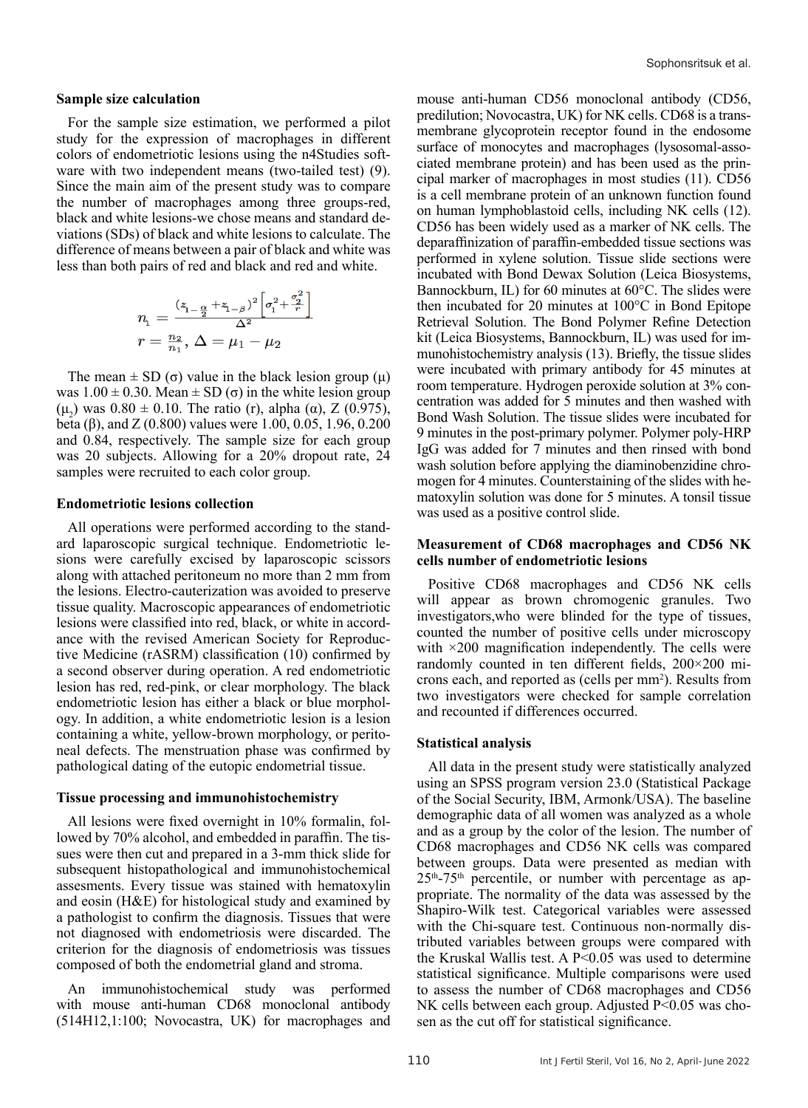#### **Sample size calculation**

For the sample size estimation, we performed a pilot study for the expression of macrophages in different colors of endometriotic lesions using the n4Studies software with two independent means (two-tailed test) (9). Since the main aim of the present study was to compare the number of macrophages among three groups-red, black and white lesions-we chose means and standard deviations (SDs) of black and white lesions to calculate. The difference of means between a pair of black and white was less than both pairs of red and black and red and white.

$$
\begin{array}{l} n_1=\frac{(z_{1-\frac{\alpha}{2}}+z_{1-\beta})^2\left[\sigma_{1}^2+\frac{\sigma_{2}^2}{r}\right]}{\Delta^2}\\ r=\frac{n_2}{n_1},\,\Delta=\mu_1-\mu_2 \end{array}
$$

The mean  $\pm$  SD (σ) value in the black lesion group (μ) was  $1.00 \pm 0.30$ . Mean  $\pm$  SD ( $\sigma$ ) in the white lesion group (μ<sub>2</sub>) was  $0.80 \pm 0.10$ . The ratio (r), alpha (α), Z (0.975), beta (β), and Z (0.800) values were 1.00, 0.05, 1.96, 0.200 and 0.84, respectively. The sample size for each group was 20 subjects. Allowing for a 20% dropout rate, 24 samples were recruited to each color group.

#### **Endometriotic lesions collection**

All operations were performed according to the standard laparoscopic surgical technique. Endometriotic lesions were carefully excised by laparoscopic scissors along with attached peritoneum no more than 2 mm from the lesions. Electro-cauterization was avoided to preserve tissue quality. Macroscopic appearances of endometriotic lesions were classified into red, black, or white in accordance with the revised American Society for Reproductive Medicine (rASRM) classification (10) confirmed by a second observer during operation. A red endometriotic lesion has red, red-pink, or clear morphology. The black endometriotic lesion has either a black or blue morphology. In addition, a white endometriotic lesion is a lesion containing a white, yellow-brown morphology, or peritoneal defects. The menstruation phase was confirmed by pathological dating of the eutopic endometrial tissue.

#### **Tissue processing and immunohistochemistry**

All lesions were fixed overnight in 10% formalin, followed by 70% alcohol, and embedded in paraffin. The tissues were then cut and prepared in a 3-mm thick slide for subsequent histopathological and immunohistochemical assesments. Every tissue was stained with hematoxylin and eosin (H&E) for histological study and examined by a pathologist to confirm the diagnosis. Tissues that were not diagnosed with endometriosis were discarded. The criterion for the diagnosis of endometriosis was tissues composed of both the endometrial gland and stroma.

An immunohistochemical study was performed with mouse anti-human CD68 monoclonal antibody (514H12,1:100; Novocastra, UK) for macrophages and

mouse anti-human CD56 monoclonal antibody (CD56, predilution; Novocastra, UK) for NK cells. CD68 is a transmembrane glycoprotein receptor found in the endosome surface of monocytes and macrophages (lysosomal-associated membrane protein) and has been used as the principal marker of macrophages in most studies (11). CD56 is a cell membrane protein of an unknown function found on human lymphoblastoid cells, including NK cells (12). CD56 has been widely used as a marker of NK cells. The deparaffinization of paraffin-embedded tissue sections was performed in xylene solution. Tissue slide sections were incubated with Bond Dewax Solution (Leica Biosystems, Bannockburn, IL) for 60 minutes at 60°C. The slides were then incubated for 20 minutes at 100°C in Bond Epitope Retrieval Solution. The Bond Polymer Refine Detection kit (Leica Biosystems, Bannockburn, IL) was used for immunohistochemistry analysis (13). Briefly, the tissue slides were incubated with primary antibody for 45 minutes at room temperature. Hydrogen peroxide solution at 3% concentration was added for 5 minutes and then washed with Bond Wash Solution. The tissue slides were incubated for 9 minutes in the post-primary polymer. Polymer poly-HRP IgG was added for 7 minutes and then rinsed with bond wash solution before applying the diaminobenzidine chromogen for 4 minutes. Counterstaining of the slides with hematoxylin solution was done for 5 minutes. A tonsil tissue was used as a positive control slide.

### **Measurement of CD68 macrophages and CD56 NK cells number of endometriotic lesions**

Positive CD68 macrophages and CD56 NK cells will appear as brown chromogenic granules. Two investigators,who were blinded for the type of tissues, counted the number of positive cells under microscopy with  $\times$ 200 magnification independently. The cells were randomly counted in ten different fields, 200×200 microns each, and reported as (cells per mm<sup>2</sup>). Results from two investigators were checked for sample correlation and recounted if differences occurred.

#### **Statistical analysis**

All data in the present study were statistically analyzed using an SPSS program version 23.0 (Statistical Package of the Social Security, IBM, Armonk/USA). The baseline demographic data of all women was analyzed as a whole and as a group by the color of the lesion. The number of CD68 macrophages and CD56 NK cells was compared between groups. Data were presented as median with  $25<sup>th</sup> - 75<sup>th</sup>$  percentile, or number with percentage as appropriate. The normality of the data was assessed by the Shapiro-Wilk test. Categorical variables were assessed with the Chi-square test. Continuous non-normally distributed variables between groups were compared with the Kruskal Wallis test. A P<0.05 was used to determine statistical significance. Multiple comparisons were used to assess the number of CD68 macrophages and CD56 NK cells between each group. Adjusted P<0.05 was chosen as the cut off for statistical significance.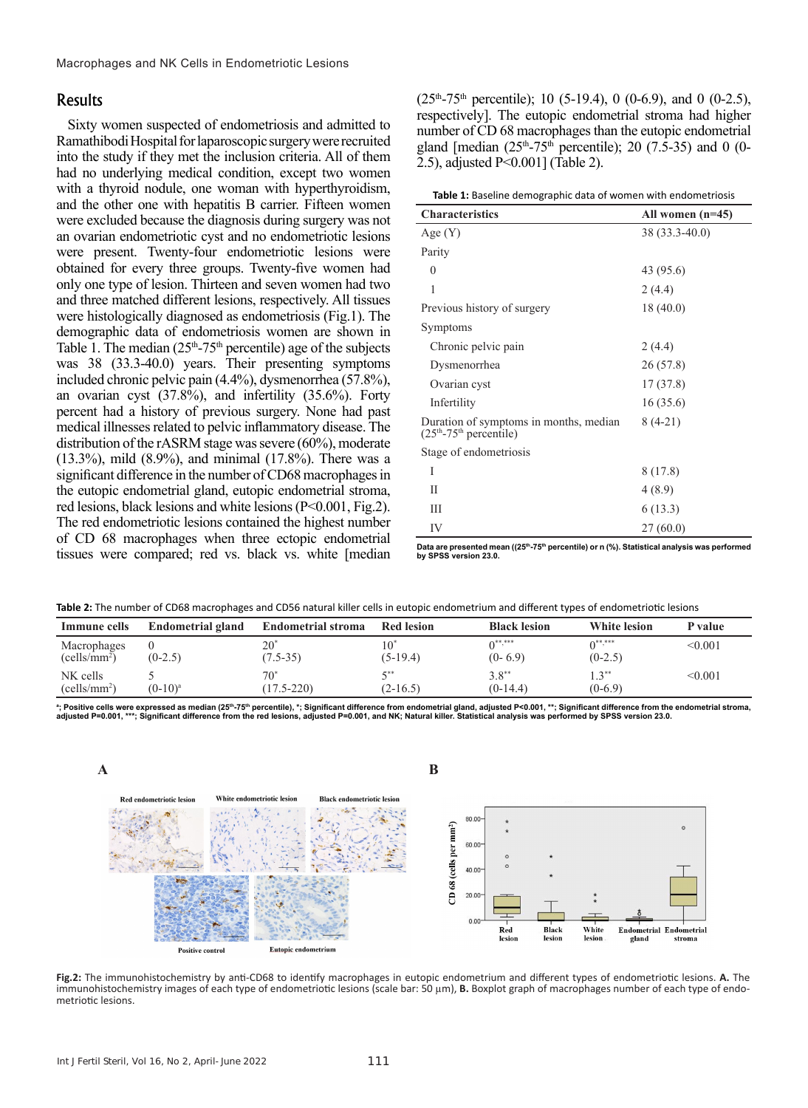## Results

Sixty women suspected of endometriosis and admitted to Ramathibodi Hospital for laparoscopic surgery were recruited into the study if they met the inclusion criteria. All of them had no underlying medical condition, except two women with a thyroid nodule, one woman with hyperthyroidism, and the other one with hepatitis B carrier. Fifteen women were excluded because the diagnosis during surgery was not an ovarian endometriotic cyst and no endometriotic lesions were present. Twenty-four endometriotic lesions were obtained for every three groups. Twenty-five women had only one type of lesion. Thirteen and seven women had two and three matched different lesions, respectively. All tissues were histologically diagnosed as endometriosis (Fig.1). The demographic data of endometriosis women are shown in Table 1. The median  $(25<sup>th</sup>-75<sup>th</sup>$  percentile) age of the subjects was 38 (33.3-40.0) years. Their presenting symptoms included chronic pelvic pain (4.4%), dysmenorrhea (57.8%), an ovarian cyst (37.8%), and infertility (35.6%). Forty percent had a history of previous surgery. None had past medical illnesses related to pelvic inflammatory disease. The distribution of the rASRM stage was severe (60%), moderate (13.3%), mild (8.9%), and minimal (17.8%). There was a significant difference in the number of CD68 macrophages in the eutopic endometrial gland, eutopic endometrial stroma, red lesions, black lesions and white lesions (P<0.001, Fig.2). The red endometriotic lesions contained the highest number of CD 68 macrophages when three ectopic endometrial tissues were compared; red vs. black vs. white [median

 $(25<sup>th</sup>-75<sup>th</sup>$  percentile); 10 (5-19.4), 0 (0-6.9), and 0 (0-2.5), respectively]. The eutopic endometrial stroma had higher number of CD 68 macrophages than the eutopic endometrial gland [median  $(25<sup>th</sup>-75<sup>th</sup>$  percentile); 20 (7.5-35) and 0 (0-2.5), adjusted P<0.001] (Table 2).

| <b>Characteristics</b>                                             | All women $(n=45)$ |  |  |  |  |  |
|--------------------------------------------------------------------|--------------------|--|--|--|--|--|
| Age(Y)                                                             | 38 (33.3-40.0)     |  |  |  |  |  |
| Parity                                                             |                    |  |  |  |  |  |
| $\theta$                                                           | 43 (95.6)          |  |  |  |  |  |
| 1                                                                  | 2(4.4)             |  |  |  |  |  |
| Previous history of surgery                                        | 18(40.0)           |  |  |  |  |  |
| Symptoms                                                           |                    |  |  |  |  |  |
| Chronic pelvic pain                                                | 2(4.4)             |  |  |  |  |  |
| Dysmenorrhea                                                       | 26(57.8)           |  |  |  |  |  |
| Ovarian cyst                                                       | 17(37.8)           |  |  |  |  |  |
| Infertility                                                        | 16(35.6)           |  |  |  |  |  |
| Duration of symptoms in months, median<br>$(25th-75th$ percentile) | $8(4-21)$          |  |  |  |  |  |
| Stage of endometriosis                                             |                    |  |  |  |  |  |
| I                                                                  | 8(17.8)            |  |  |  |  |  |
| П                                                                  | 4(8.9)             |  |  |  |  |  |
| Ш                                                                  | 6(13.3)            |  |  |  |  |  |
| IV                                                                 | 27(60.0)           |  |  |  |  |  |

Data are presented mean ((25<sup>th</sup>-75<sup>th</sup> percentile) or n (%). Statistical analysis was performed **by SPSS version 23.0.**

| Table 2: The number of CD68 macrophages and CD56 natural killer cells in eutopic endometrium and different types of endometriotic lesions |  |  |
|-------------------------------------------------------------------------------------------------------------------------------------------|--|--|
|-------------------------------------------------------------------------------------------------------------------------------------------|--|--|

| Immune cells                            | <b>Endometrial gland</b> | <b>Endometrial stroma</b> | <b>Red lesion</b> | <b>Black lesion</b>    | <b>White lesion</b>   | P value |
|-----------------------------------------|--------------------------|---------------------------|-------------------|------------------------|-----------------------|---------|
| Macrophages<br>(cells/mm <sup>2</sup> ) | $(0-2.5)$                | $20^{*}$<br>$(7.5 - 35)$  | $(5-19.4)$        | $0***$<br>$(0-6.9)$    | $0***$<br>$(0-2.5)$   | < 0.001 |
| NK cells<br>(cells/mm <sup>2</sup> )    | $(0-10)^a$               | $(17.5 - 220)$            | $(2-16.5)$        | $3.8***$<br>$(0-14.4)$ | $1.3***$<br>$(0-6.9)$ | < 0.001 |

<sup>a</sup>; Positive cells were expressed as median (25<sup>th</sup>-75<sup>th</sup> percentile), \*; Significant difference from endometrial gland, adjusted P<0.001, \*\*; Significant difference from the endometrial stroma, **adjusted P=0.001, \*\*\*; Significant difference from the red lesions, adjusted P=0.001, and NK; Natural killer. Statistical analysis was performed by SPSS version 23.0.**



**B Fig.2:** The immunohistochemistry by anti-CD68 to identify macrophages in eutopic endometrium and different types of endometriotic lesions. **A.** The immunohistochemistry images of each type of endometriotic lesions (scale bar: 50 µm), **B.** Boxplot graph of macrophages number of each type of endo- metriotic lesions.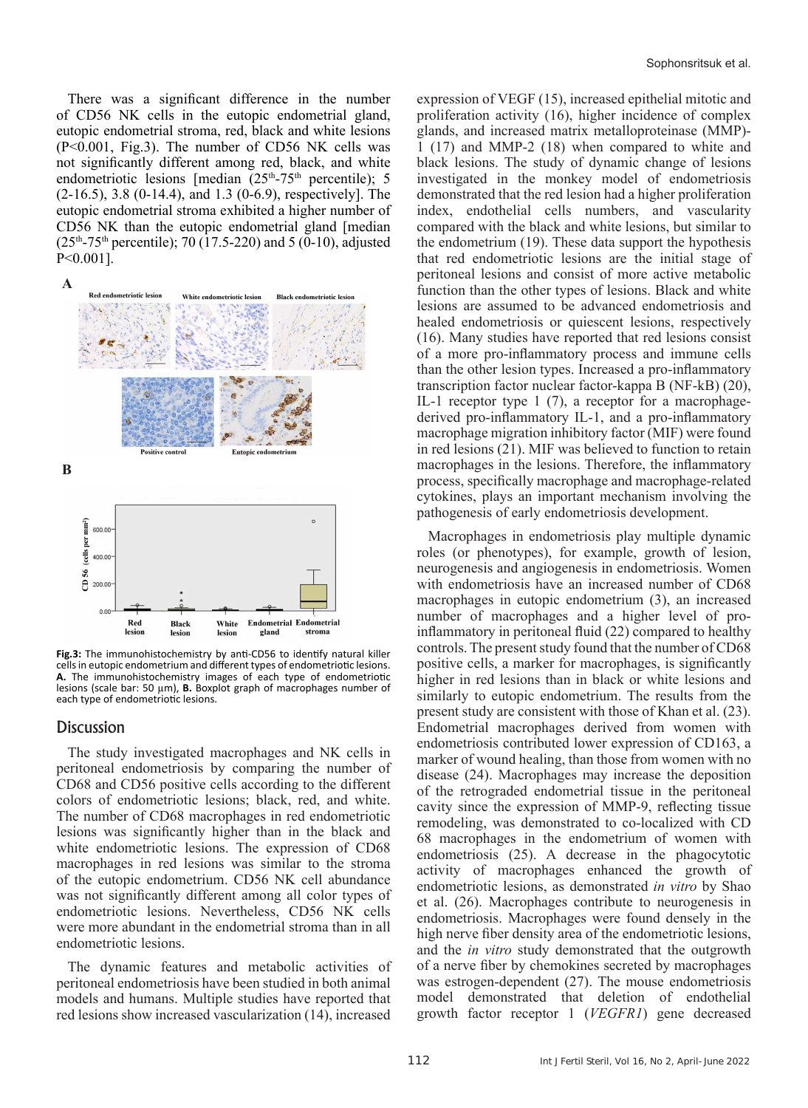There was a significant difference in the number of CD56 NK cells in the eutopic endometrial gland, eutopic endometrial stroma, red, black and white lesions (P<0.001, Fig.3). The number of CD56 NK cells was not significantly different among red, black, and white endometriotic lesions [median  $(25<sup>th</sup>-75<sup>th</sup>$  percentile); 5 (2-16.5), 3.8 (0-14.4), and 1.3 (0-6.9), respectively]. The eutopic endometrial stroma exhibited a higher number of CD56 NK than the eutopic endometrial gland [median  $(25<sup>th</sup>-75<sup>th</sup>$  percentile); 70 (17.5-220) and 5 (0-10), adjusted P<0.001].



**Fig.3:** The immunohistochemistry by anti-CD56 to identify natural killer cells in eutopic endometrium and different types of endometriotic lesions. **A.** The immunohistochemistry images of each type of endometriotic lesions (scale bar: 50 µm), **B.** Boxplot graph of macrophages number of each type of endometriotic lesions.

### **Discussion**

The study investigated macrophages and NK cells in peritoneal endometriosis by comparing the number of CD68 and CD56 positive cells according to the different colors of endometriotic lesions; black, red, and white. The number of CD68 macrophages in red endometriotic lesions was significantly higher than in the black and white endometriotic lesions. The expression of CD68 macrophages in red lesions was similar to the stroma of the eutopic endometrium. CD56 NK cell abundance was not significantly different among all color types of endometriotic lesions. Nevertheless, CD56 NK cells were more abundant in the endometrial stroma than in all endometriotic lesions.

The dynamic features and metabolic activities of peritoneal endometriosis have been studied in both animal models and humans. Multiple studies have reported that red lesions show increased vascularization (14), increased

expression of VEGF (15), increased epithelial mitotic and proliferation activity (16), higher incidence of complex glands, and increased matrix metalloproteinase (MMP)- 1 (17) and MMP-2 (18) when compared to white and black lesions. The study of dynamic change of lesions investigated in the monkey model of endometriosis demonstrated that the red lesion had a higher proliferation index, endothelial cells numbers, and vascularity compared with the black and white lesions, but similar to the endometrium (19). These data support the hypothesis that red endometriotic lesions are the initial stage of peritoneal lesions and consist of more active metabolic function than the other types of lesions. Black and white lesions are assumed to be advanced endometriosis and healed endometriosis or quiescent lesions, respectively (16). Many studies have reported that red lesions consist of a more pro-inflammatory process and immune cells than the other lesion types. Increased a pro-inflammatory transcription factor nuclear factor-kappa B (NF-kB) (20), IL-1 receptor type 1 (7), a receptor for a macrophagederived pro-inflammatory IL-1, and a pro-inflammatory macrophage migration inhibitory factor (MIF) were found in red lesions (21). MIF was believed to function to retain macrophages in the lesions. Therefore, the inflammatory process, specifically macrophage and macrophage-related cytokines, plays an important mechanism involving the pathogenesis of early endometriosis development.

Macrophages in endometriosis play multiple dynamic roles (or phenotypes), for example, growth of lesion, neurogenesis and angiogenesis in endometriosis. Women with endometriosis have an increased number of CD68 macrophages in eutopic endometrium (3), an increased number of macrophages and a higher level of proinflammatory in peritoneal fluid (22) compared to healthy controls. The present study found that the number of CD68 positive cells, a marker for macrophages, is significantly higher in red lesions than in black or white lesions and similarly to eutopic endometrium. The results from the present study are consistent with those of Khan et al. (23). Endometrial macrophages derived from women with endometriosis contributed lower expression of CD163, a marker of wound healing, than those from women with no disease (24). Macrophages may increase the deposition of the retrograded endometrial tissue in the peritoneal cavity since the expression of MMP-9, reflecting tissue remodeling, was demonstrated to co-localized with CD 68 macrophages in the endometrium of women with endometriosis (25). A decrease in the phagocytotic activity of macrophages enhanced the growth of endometriotic lesions, as demonstrated *in vitro* by Shao et al. (26). Macrophages contribute to neurogenesis in endometriosis. Macrophages were found densely in the high nerve fiber density area of the endometriotic lesions, and the *in vitro* study demonstrated that the outgrowth of a nerve fiber by chemokines secreted by macrophages was estrogen-dependent (27). The mouse endometriosis model demonstrated that deletion of endothelial growth factor receptor 1 (*VEGFR1*) gene decreased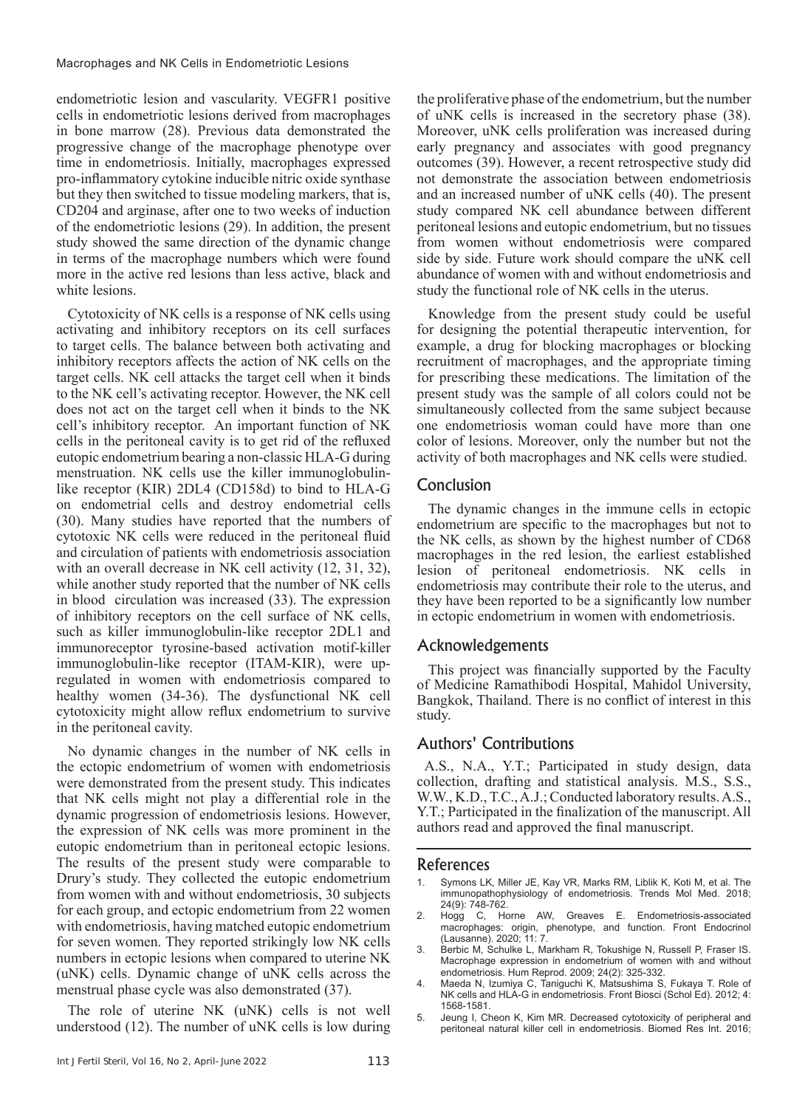endometriotic lesion and vascularity. VEGFR1 positive cells in endometriotic lesions derived from macrophages in bone marrow (28). Previous data demonstrated the progressive change of the macrophage phenotype over time in endometriosis. Initially, macrophages expressed pro-inflammatory cytokine inducible nitric oxide synthase but they then switched to tissue modeling markers, that is, CD204 and arginase, after one to two weeks of induction of the endometriotic lesions (29). In addition, the present study showed the same direction of the dynamic change in terms of the macrophage numbers which were found more in the active red lesions than less active, black and white lesions.

Cytotoxicity of NK cells is a response of NK cells using activating and inhibitory receptors on its cell surfaces to target cells. The balance between both activating and inhibitory receptors affects the action of NK cells on the target cells. NK cell attacks the target cell when it binds to the NK cell's activating receptor. However, the NK cell does not act on the target cell when it binds to the NK cell's inhibitory receptor. An important function of NK cells in the peritoneal cavity is to get rid of the refluxed eutopic endometrium bearing a non-classic HLA-G during menstruation. NK cells use the killer immunoglobulinlike receptor (KIR) 2DL4 (CD158d) to bind to HLA-G on endometrial cells and destroy endometrial cells (30). Many studies have reported that the numbers of cytotoxic NK cells were reduced in the peritoneal fluid and circulation of patients with endometriosis association with an overall decrease in NK cell activity (12, 31, 32), while another study reported that the number of NK cells in blood circulation was increased (33). The expression of inhibitory receptors on the cell surface of NK cells, such as killer immunoglobulin-like receptor 2DL1 and immunoreceptor tyrosine-based activation motif-killer immunoglobulin-like receptor (ITAM-KIR), were upregulated in women with endometriosis compared to healthy women (34-36). The dysfunctional NK cell cytotoxicity might allow reflux endometrium to survive in the peritoneal cavity.

No dynamic changes in the number of NK cells in the ectopic endometrium of women with endometriosis were demonstrated from the present study. This indicates that NK cells might not play a differential role in the dynamic progression of endometriosis lesions. However, the expression of NK cells was more prominent in the eutopic endometrium than in peritoneal ectopic lesions. The results of the present study were comparable to Drury's study. They collected the eutopic endometrium from women with and without endometriosis, 30 subjects for each group, and ectopic endometrium from 22 women with endometriosis, having matched eutopic endometrium for seven women. They reported strikingly low NK cells numbers in ectopic lesions when compared to uterine NK (uNK) cells. Dynamic change of uNK cells across the menstrual phase cycle was also demonstrated (37).

The role of uterine NK (uNK) cells is not well understood (12). The number of uNK cells is low during the proliferative phase of the endometrium, but the number of uNK cells is increased in the secretory phase (38). Moreover, uNK cells proliferation was increased during early pregnancy and associates with good pregnancy outcomes (39). However, a recent retrospective study did not demonstrate the association between endometriosis and an increased number of uNK cells (40). The present study compared NK cell abundance between different peritoneal lesions and eutopic endometrium, but no tissues from women without endometriosis were compared side by side. Future work should compare the uNK cell abundance of women with and without endometriosis and study the functional role of NK cells in the uterus.

Knowledge from the present study could be useful for designing the potential therapeutic intervention, for example, a drug for blocking macrophages or blocking recruitment of macrophages, and the appropriate timing for prescribing these medications. The limitation of the present study was the sample of all colors could not be simultaneously collected from the same subject because one endometriosis woman could have more than one color of lesions. Moreover, only the number but not the activity of both macrophages and NK cells were studied.

# Conclusion

The dynamic changes in the immune cells in ectopic endometrium are specific to the macrophages but not to the NK cells, as shown by the highest number of CD68 macrophages in the red lesion, the earliest established lesion of peritoneal endometriosis. NK cells in endometriosis may contribute their role to the uterus, and they have been reported to be a significantly low number in ectopic endometrium in women with endometriosis.

## Acknowledgements

This project was financially supported by the Faculty of Medicine Ramathibodi Hospital, Mahidol University, Bangkok, Thailand. There is no conflict of interest in this study.

## Authors' Contributions

A.S., N.A., Y.T.; Participated in study design, data collection, drafting and statistical analysis. M.S., S.S., W.W., K.D., T.C., A.J.; Conducted laboratory results. A.S., Y.T.; Participated in the finalization of the manuscript. All authors read and approved the final manuscript.

## References

- 1. Symons LK, Miller JE, Kay VR, Marks RM, Liblik K, Koti M, et al. The immunopathophysiology of endometriosis. Trends Mol Med. 2018; 24(9): 748-762.
- Hogg C, Horne AW, Greaves E. Endometriosis-associated macrophages: origin, phenotype, and function. Front Endocrinol (Lausanne). 2020; 11: 7.
- 3. Berbic M, Schulke L, Markham R, Tokushige N, Russell P, Fraser IS. Macrophage expression in endometrium of women with and without endometriosis. Hum Reprod. 2009; 24(2): 325-332.
- 4. Maeda N, Izumiya C, Taniguchi K, Matsushima S, Fukaya T. Role of NK cells and HLA-G in endometriosis. Front Biosci (Schol Ed). 2012; 4: 1568-1581.
- 5. Jeung I, Cheon K, Kim MR. Decreased cytotoxicity of peripheral and peritoneal natural killer cell in endometriosis. Biomed Res Int. 2016;